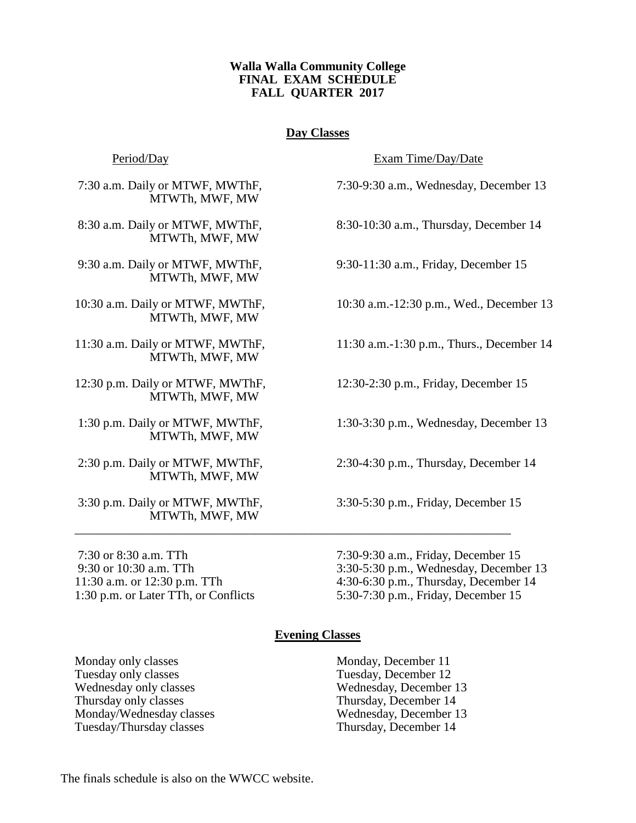## **Walla Walla Community College FINAL EXAM SCHEDULE FALL QUARTER 2017**

# **Day Classes**

MTWTh, MWF, MW

MTWTh, MWF, MW

MTWTh, MWF, MW

MTWTh, MWF, MW

MTWTh, MWF, MW

MTWTh, MWF, MW

MTWTh, MWF, MW

MTWTh, MWF, MW

MTWTh, MWF, MW

Period/Day Exam Time/Day/Date

7:30 a.m. Daily or MTWF, MWThF, 7:30-9:30 a.m., Wednesday, December 13

8:30 a.m. Daily or MTWF, MWThF, 8:30-10:30 a.m., Thursday, December 14

9:30 a.m. Daily or MTWF, MWThF, 9:30-11:30 a.m., Friday, December 15

10:30 a.m. Daily or MTWF, MWThF, 10:30 a.m.-12:30 p.m., Wed., December 13

11:30 a.m. Daily or MTWF, MWThF, 11:30 a.m.-1:30 p.m., Thurs., December 14

12:30 p.m. Daily or MTWF, MWThF, 12:30-2:30 p.m., Friday, December 15

1:30 p.m. Daily or MTWF, MWThF, 1:30-3:30 p.m., Wednesday, December 13

2:30 p.m. Daily or MTWF, MWThF, 2:30-4:30 p.m., Thursday, December 14

3:30 p.m. Daily or MTWF, MWThF, 3:30-5:30 p.m., Friday, December 15

7:30 or 8:30 a.m. TTh 7:30-9:30 a.m., Friday, December 15 9:30 or 10:30 a.m. TTh 3:30-5:30 p.m., Wednesday, December 13 11:30 a.m. or 12:30 p.m. TTh 4:30-6:30 p.m., Thursday, December 14 1:30 p.m. or Later TTh, or Conflicts 5:30-7:30 p.m., Friday, December 15

## **Evening Classes**

\_\_\_\_\_\_\_\_\_\_\_\_\_\_\_\_\_\_\_\_\_\_\_\_\_\_\_\_\_\_\_\_\_\_\_\_\_\_\_\_\_\_\_\_\_\_\_\_\_\_\_\_\_\_\_\_\_\_\_\_\_\_\_\_\_\_\_\_\_\_

Monday only classes Monday, December 11 Tuesday only classes Tuesday, December 12 Wednesday only classes Wednesday, December 13 Thursday only classes Thursday, December 14 Monday/Wednesday classes Wednesday, December 13 Tuesday/Thursday classes Thursday, December 14

The finals schedule is also on the WWCC website.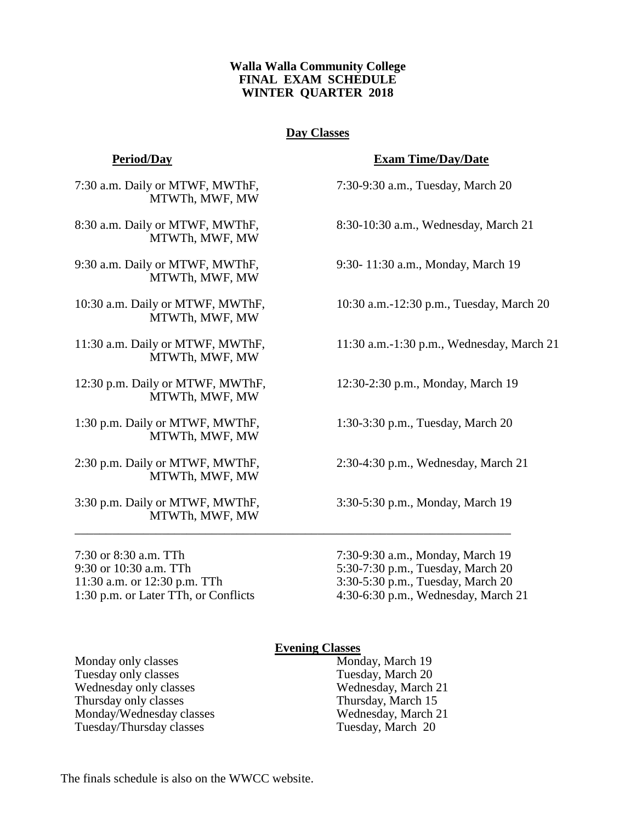## **Walla Walla Community College FINAL EXAM SCHEDULE WINTER QUARTER 2018**

# **Day Classes**

7:30 a.m. Daily or MTWF, MWThF, 7:30-9:30 a.m., Tuesday, March 20 MTWTh, MWF, MW

MTWTh, MWF, MW

MTWTh, MWF, MW

MTWTh, MWF, MW

MTWTh, MWF, MW

12:30 p.m. Daily or MTWF, MWThF, 12:30-2:30 p.m., Monday, March 19 MTWTh, MWF, MW

1:30 p.m. Daily or MTWF, MWThF, 1:30-3:30 p.m., Tuesday, March 20 MTWTh, MWF, MW

2:30 p.m. Daily or MTWF, MWThF, 2:30-4:30 p.m., Wednesday, March 21 MTWTh, MWF, MW

3:30 p.m. Daily or MTWF, MWThF, 3:30-5:30 p.m., Monday, March 19 MTWTh, MWF, MW

9:30 or 10:30 a.m. TTh 5:30-7:30 p.m., Tuesday, March 20 11:30 a.m. or 12:30 p.m. TTh 3:30-5:30 p.m., Tuesday, March 20

## **Period/Day Exam Time/Day/Date**

8:30 a.m. Daily or MTWF, MWThF, 8:30-10:30 a.m., Wednesday, March 21

9:30 a.m. Daily or MTWF, MWThF, 9:30- 11:30 a.m., Monday, March 19

10:30 a.m. Daily or MTWF, MWThF, 10:30 a.m.-12:30 p.m., Tuesday, March 20

11:30 a.m. Daily or MTWF, MWThF, 11:30 a.m.-1:30 p.m., Wednesday, March 21

7:30 or 8:30 a.m. TTh 7:30-9:30 a.m., Monday, March 19 1:30 p.m. or Later TTh, or Conflicts 4:30-6:30 p.m., Wednesday, March 21

### **Evening Classes**

\_\_\_\_\_\_\_\_\_\_\_\_\_\_\_\_\_\_\_\_\_\_\_\_\_\_\_\_\_\_\_\_\_\_\_\_\_\_\_\_\_\_\_\_\_\_\_\_\_\_\_\_\_\_\_\_\_\_\_\_\_\_\_\_\_\_\_\_\_\_

Monday only classes Monday, March 19 Tuesday only classes Tuesday, March 20 Wednesday only classes Wednesday, March 21 Thursday only classes Thursday, March 15 Monday/Wednesday classes Wednesday, March 21 Tuesday/Thursday classes Tuesday, March 20

The finals schedule is also on the WWCC website.